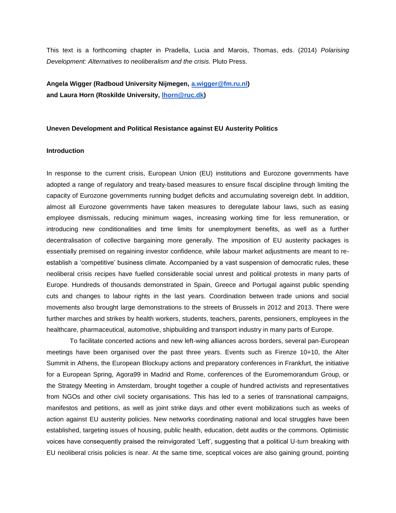This text is a forthcoming chapter in Pradella, Lucia and Marois, Thomas, eds. (2014) *Polarising Development: Alternatives to neoliberalism and the crisis.* Pluto Press.

**Angela Wigger (Radboud University Nijmegen, [a.wigger@fm.ru.nl\)](mailto:a.wigger@fm.ru.nl) and Laura Horn (Roskilde University, [lhorn@ruc.dk\)](mailto:lhorn@ruc.dk)**

## **Uneven Development and Political Resistance against EU Austerity Politics**

# **Introduction**

In response to the current crisis, European Union (EU) institutions and Eurozone governments have adopted a range of regulatory and treaty-based measures to ensure fiscal discipline through limiting the capacity of Eurozone governments running budget deficits and accumulating sovereign debt. In addition, almost all Eurozone governments have taken measures to deregulate labour laws, such as easing employee dismissals, reducing minimum wages, increasing working time for less remuneration, or introducing new conditionalities and time limits for unemployment benefits, as well as a further decentralisation of collective bargaining more generally. The imposition of EU austerity packages is essentially premised on regaining investor confidence, while labour market adjustments are meant to reestablish a 'competitive' business climate. Accompanied by a vast suspension of democratic rules, these neoliberal crisis recipes have fuelled considerable social unrest and political protests in many parts of Europe. Hundreds of thousands demonstrated in Spain, Greece and Portugal against public spending cuts and changes to labour rights in the last years. Coordination between trade unions and social movements also brought large demonstrations to the streets of Brussels in 2012 and 2013. There were further marches and strikes by health workers, students, teachers, parents, pensioners, employees in the healthcare, pharmaceutical, automotive, shipbuilding and transport industry in many parts of Europe.

To facilitate concerted actions and new left-wing alliances across borders, several pan-European meetings have been organised over the past three years. Events such as Firenze 10+10, the Alter Summit in Athens, the European Blockupy actions and preparatory conferences in Frankfurt, the initiative for a European Spring, Agora99 in Madrid and Rome, conferences of the Euromemorandum Group, or the Strategy Meeting in Amsterdam, brought together a couple of hundred activists and representatives from NGOs and other civil society organisations. This has led to a series of transnational campaigns, manifestos and petitions, as well as joint strike days and other event mobilizations such as weeks of action against EU austerity policies. New networks coordinating national and local struggles have been established, targeting issues of housing, public health, education, debt audits or the commons. Optimistic voices have consequently praised the reinvigorated 'Left', suggesting that a political U-turn breaking with EU neoliberal crisis policies is near. At the same time, sceptical voices are also gaining ground, pointing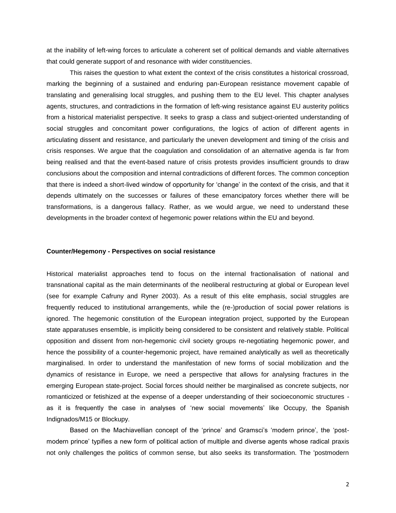at the inability of left-wing forces to articulate a coherent set of political demands and viable alternatives that could generate support of and resonance with wider constituencies.

This raises the question to what extent the context of the crisis constitutes a historical crossroad, marking the beginning of a sustained and enduring pan-European resistance movement capable of translating and generalising local struggles, and pushing them to the EU level. This chapter analyses agents, structures, and contradictions in the formation of left-wing resistance against EU austerity politics from a historical materialist perspective. It seeks to grasp a class and subject-oriented understanding of social struggles and concomitant power configurations, the logics of action of different agents in articulating dissent and resistance, and particularly the uneven development and timing of the crisis and crisis responses. We argue that the coagulation and consolidation of an alternative agenda is far from being realised and that the event-based nature of crisis protests provides insufficient grounds to draw conclusions about the composition and internal contradictions of different forces. The common conception that there is indeed a short-lived window of opportunity for 'change' in the context of the crisis, and that it depends ultimately on the successes or failures of these emancipatory forces whether there will be transformations, is a dangerous fallacy. Rather, as we would argue, we need to understand these developments in the broader context of hegemonic power relations within the EU and beyond.

#### **Counter/Hegemony - Perspectives on social resistance**

Historical materialist approaches tend to focus on the internal fractionalisation of national and transnational capital as the main determinants of the neoliberal restructuring at global or European level (see for example Cafruny and Ryner 2003). As a result of this elite emphasis, social struggles are frequently reduced to institutional arrangements, while the (re-)production of social power relations is ignored. The hegemonic constitution of the European integration project, supported by the European state apparatuses ensemble, is implicitly being considered to be consistent and relatively stable. Political opposition and dissent from non-hegemonic civil society groups re-negotiating hegemonic power, and hence the possibility of a counter-hegemonic project, have remained analytically as well as theoretically marginalised. In order to understand the manifestation of new forms of social mobilization and the dynamics of resistance in Europe, we need a perspective that allows for analysing fractures in the emerging European state-project. Social forces should neither be marginalised as concrete subjects, nor romanticized or fetishized at the expense of a deeper understanding of their socioeconomic structures as it is frequently the case in analyses of 'new social movements' like Occupy, the Spanish Indignados/M15 or Blockupy.

Based on the Machiavellian concept of the 'prince' and Gramsci's 'modern prince', the 'postmodern prince' typifies a new form of political action of multiple and diverse agents whose radical praxis not only challenges the politics of common sense, but also seeks its transformation. The 'postmodern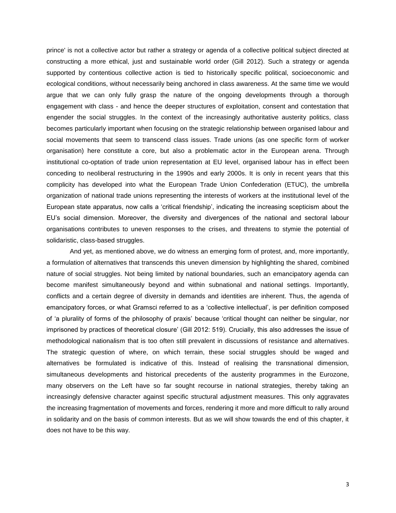prince' is not a collective actor but rather a strategy or agenda of a collective political subject directed at constructing a more ethical, just and sustainable world order (Gill 2012). Such a strategy or agenda supported by contentious collective action is tied to historically specific political, socioeconomic and ecological conditions, without necessarily being anchored in class awareness. At the same time we would argue that we can only fully grasp the nature of the ongoing developments through a thorough engagement with class - and hence the deeper structures of exploitation, consent and contestation that engender the social struggles. In the context of the increasingly authoritative austerity politics, class becomes particularly important when focusing on the strategic relationship between organised labour and social movements that seem to transcend class issues. Trade unions (as one specific form of worker organisation) here constitute a core, but also a problematic actor in the European arena. Through institutional co-optation of trade union representation at EU level, organised labour has in effect been conceding to neoliberal restructuring in the 1990s and early 2000s. It is only in recent years that this complicity has developed into what the European Trade Union Confederation (ETUC), the umbrella organization of national trade unions representing the interests of workers at the institutional level of the European state apparatus, now calls a 'critical friendship', indicating the increasing scepticism about the EU's social dimension. Moreover, the diversity and divergences of the national and sectoral labour organisations contributes to uneven responses to the crises, and threatens to stymie the potential of solidaristic, class-based struggles.

And yet, as mentioned above, we do witness an emerging form of protest, and, more importantly, a formulation of alternatives that transcends this uneven dimension by highlighting the shared, combined nature of social struggles. Not being limited by national boundaries, such an emancipatory agenda can become manifest simultaneously beyond and within subnational and national settings. Importantly, conflicts and a certain degree of diversity in demands and identities are inherent. Thus, the agenda of emancipatory forces, or what Gramsci referred to as a 'collective intellectual', is per definition composed of 'a plurality of forms of the philosophy of praxis' because 'critical thought can neither be singular, nor imprisoned by practices of theoretical closure' (Gill 2012: 519). Crucially, this also addresses the issue of methodological nationalism that is too often still prevalent in discussions of resistance and alternatives. The strategic question of where, on which terrain, these social struggles should be waged and alternatives be formulated is indicative of this. Instead of realising the transnational dimension, simultaneous developments and historical precedents of the austerity programmes in the Eurozone, many observers on the Left have so far sought recourse in national strategies, thereby taking an increasingly defensive character against specific structural adjustment measures. This only aggravates the increasing fragmentation of movements and forces, rendering it more and more difficult to rally around in solidarity and on the basis of common interests. But as we will show towards the end of this chapter, it does not have to be this way.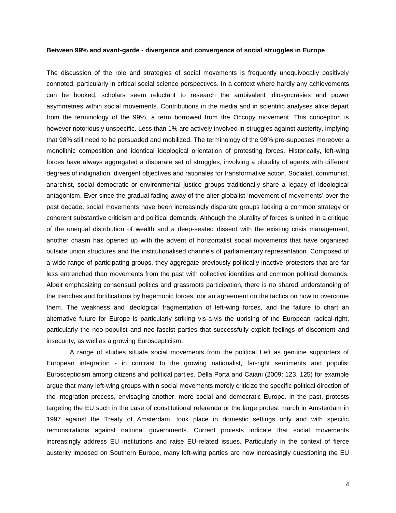## **Between 99% and avant-garde - divergence and convergence of social struggles in Europe**

The discussion of the role and strategies of social movements is frequently unequivocally positively connoted, particularly in critical social science perspectives. In a context where hardly any achievements can be booked, scholars seem reluctant to research the ambivalent idiosyncrasies and power asymmetries within social movements. Contributions in the media and in scientific analyses alike depart from the terminology of the 99%, a term borrowed from the Occupy movement. This conception is however notoriously unspecific. Less than 1% are actively involved in struggles against austerity, implying that 98% still need to be persuaded and mobilized. The terminology of the 99% pre-supposes moreover a monolithic composition and identical ideological orientation of protesting forces. Historically, left-wing forces have always aggregated a disparate set of struggles, involving a plurality of agents with different degrees of indignation, divergent objectives and rationales for transformative action. Socialist, communist, anarchist, social democratic or environmental justice groups traditionally share a legacy of ideological antagonism. Ever since the gradual fading away of the alter-globalist 'movement of movements' over the past decade, social movements have been increasingly disparate groups lacking a common strategy or coherent substantive criticism and political demands. Although the plurality of forces is united in a critique of the unequal distribution of wealth and a deep-seated dissent with the existing crisis management, another chasm has opened up with the advent of horizontalist social movements that have organised outside union structures and the institutionalised channels of parliamentary representation. Composed of a wide range of participating groups, they aggregate previously politically inactive protesters that are far less entrenched than movements from the past with collective identities and common political demands. Albeit emphasizing consensual politics and grassroots participation, there is no shared understanding of the trenches and fortifications by hegemonic forces, nor an agreement on the tactics on how to overcome them. The weakness and ideological fragmentation of left-wing forces, and the failure to chart an alternative future for Europe is particularly striking vis-a-vis the uprising of the European radical-right, particularly the neo-populist and neo-fascist parties that successfully exploit feelings of discontent and insecurity, as well as a growing Euroscepticism.

A range of studies situate social movements from the political Left as genuine supporters of European integration - in contrast to the growing nationalist, far-right sentiments and populist Euroscepticism among citizens and political parties. Della Porta and Caiani (2009: 123, 125) for example argue that many left-wing groups within social movements merely criticize the specific political direction of the integration process, envisaging another, more social and democratic Europe. In the past, protests targeting the EU such in the case of constitutional referenda or the large protest march in Amsterdam in 1997 against the Treaty of Amsterdam, took place in domestic settings only and with specific remonstrations against national governments. Current protests indicate that social movements increasingly address EU institutions and raise EU-related issues. Particularly in the context of fierce austerity imposed on Southern Europe, many left-wing parties are now increasingly questioning the EU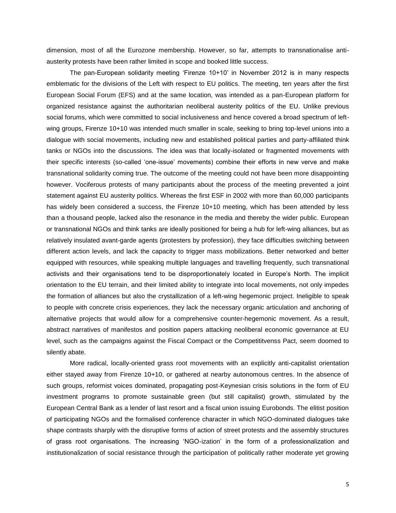dimension, most of all the Eurozone membership. However, so far, attempts to transnationalise antiausterity protests have been rather limited in scope and booked little success.

The pan-European solidarity meeting 'Firenze 10+10' in November 2012 is in many respects emblematic for the divisions of the Left with respect to EU politics. The meeting, ten years after the first European Social Forum (EFS) and at the same location, was intended as a pan-European platform for organized resistance against the authoritarian neoliberal austerity politics of the EU. Unlike previous social forums, which were committed to social inclusiveness and hence covered a broad spectrum of leftwing groups, Firenze 10+10 was intended much smaller in scale, seeking to bring top-level unions into a dialogue with social movements, including new and established political parties and party-affiliated think tanks or NGOs into the discussions. The idea was that locally-isolated or fragmented movements with their specific interests (so-called 'one-issue' movements) combine their efforts in new verve and make transnational solidarity coming true. The outcome of the meeting could not have been more disappointing however. Vociferous protests of many participants about the process of the meeting prevented a joint statement against EU austerity politics. Whereas the first ESF in 2002 with more than 60,000 participants has widely been considered a success, the Firenze 10+10 meeting, which has been attended by less than a thousand people, lacked also the resonance in the media and thereby the wider public. European or transnational NGOs and think tanks are ideally positioned for being a hub for left-wing alliances, but as relatively insulated avant-garde agents (protesters by profession), they face difficulties switching between different action levels, and lack the capacity to trigger mass mobilizations. Better networked and better equipped with resources, while speaking multiple languages and travelling frequently, such transnational activists and their organisations tend to be disproportionately located in Europe's North. The implicit orientation to the EU terrain, and their limited ability to integrate into local movements, not only impedes the formation of alliances but also the crystallization of a left-wing hegemonic project. Ineligible to speak to people with concrete crisis experiences, they lack the necessary organic articulation and anchoring of alternative projects that would allow for a comprehensive counter-hegemonic movement. As a result, abstract narratives of manifestos and position papers attacking neoliberal economic governance at EU level, such as the campaigns against the Fiscal Compact or the Competititvenss Pact, seem doomed to silently abate.

More radical, locally-oriented grass root movements with an explicitly anti-capitalist orientation either stayed away from Firenze 10+10, or gathered at nearby autonomous centres. In the absence of such groups, reformist voices dominated, propagating post-Keynesian crisis solutions in the form of EU investment programs to promote sustainable green (but still capitalist) growth, stimulated by the European Central Bank as a lender of last resort and a fiscal union issuing Eurobonds. The elitist position of participating NGOs and the formalised conference character in which NGO-dominated dialogues take shape contrasts sharply with the disruptive forms of action of street protests and the assembly structures of grass root organisations. The increasing 'NGO-ization' in the form of a professionalization and institutionalization of social resistance through the participation of politically rather moderate yet growing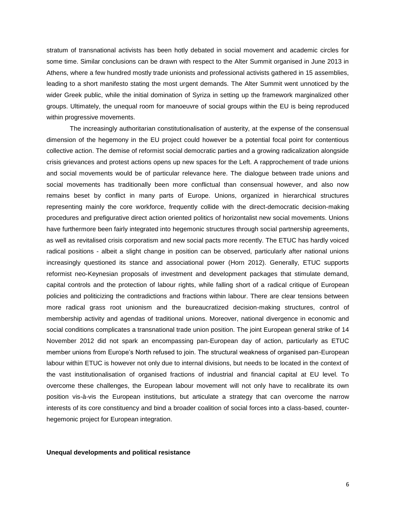stratum of transnational activists has been hotly debated in social movement and academic circles for some time. Similar conclusions can be drawn with respect to the Alter Summit organised in June 2013 in Athens, where a few hundred mostly trade unionists and professional activists gathered in 15 assemblies, leading to a short manifesto stating the most urgent demands. The Alter Summit went unnoticed by the wider Greek public, while the initial domination of Syriza in setting up the framework marginalized other groups. Ultimately, the unequal room for manoeuvre of social groups within the EU is being reproduced within progressive movements.

The increasingly authoritarian constitutionalisation of austerity, at the expense of the consensual dimension of the hegemony in the EU project could however be a potential focal point for contentious collective action. The demise of reformist social democratic parties and a growing radicalization alongside crisis grievances and protest actions opens up new spaces for the Left. A rapprochement of trade unions and social movements would be of particular relevance here. The dialogue between trade unions and social movements has traditionally been more conflictual than consensual however, and also now remains beset by conflict in many parts of Europe. Unions, organized in hierarchical structures representing mainly the core workforce, frequently collide with the direct-democratic decision-making procedures and prefigurative direct action oriented politics of horizontalist new social movements. Unions have furthermore been fairly integrated into hegemonic structures through social partnership agreements, as well as revitalised crisis corporatism and new social pacts more recently. The ETUC has hardly voiced radical positions - albeit a slight change in position can be observed, particularly after national unions increasingly questioned its stance and associational power (Horn 2012). Generally, ETUC supports reformist neo-Keynesian proposals of investment and development packages that stimulate demand, capital controls and the protection of labour rights, while falling short of a radical critique of European policies and politicizing the contradictions and fractions within labour. There are clear tensions between more radical grass root unionism and the bureaucratized decision-making structures, control of membership activity and agendas of traditional unions. Moreover, national divergence in economic and social conditions complicates a transnational trade union position. The joint European general strike of 14 November 2012 did not spark an encompassing pan-European day of action, particularly as ETUC member unions from Europe's North refused to join. The structural weakness of organised pan-European labour within ETUC is however not only due to internal divisions, but needs to be located in the context of the vast institutionalisation of organised fractions of industrial and financial capital at EU level. To overcome these challenges, the European labour movement will not only have to recalibrate its own position vis-à-vis the European institutions, but articulate a strategy that can overcome the narrow interests of its core constituency and bind a broader coalition of social forces into a class-based, counterhegemonic project for European integration.

#### **Unequal developments and political resistance**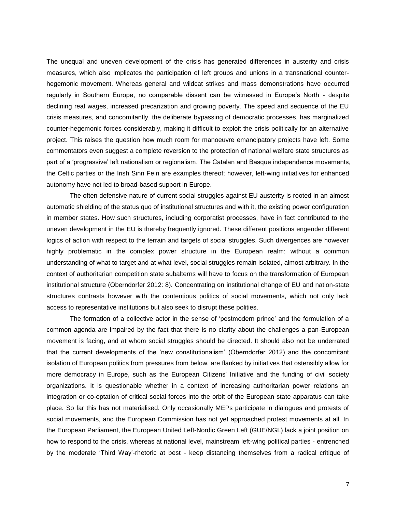The unequal and uneven development of the crisis has generated differences in austerity and crisis measures, which also implicates the participation of left groups and unions in a transnational counterhegemonic movement. Whereas general and wildcat strikes and mass demonstrations have occurred regularly in Southern Europe, no comparable dissent can be witnessed in Europe's North - despite declining real wages, increased precarization and growing poverty. The speed and sequence of the EU crisis measures, and concomitantly, the deliberate bypassing of democratic processes, has marginalized counter-hegemonic forces considerably, making it difficult to exploit the crisis politically for an alternative project. This raises the question how much room for manoeuvre emancipatory projects have left. Some commentators even suggest a complete reversion to the protection of national welfare state structures as part of a 'progressive' left nationalism or regionalism. The Catalan and Basque independence movements, the Celtic parties or the Irish Sinn Fein are examples thereof; however, left-wing initiatives for enhanced autonomy have not led to broad-based support in Europe.

The often defensive nature of current social struggles against EU austerity is rooted in an almost automatic shielding of the status quo of institutional structures and with it, the existing power configuration in member states. How such structures, including corporatist processes, have in fact contributed to the uneven development in the EU is thereby frequently ignored. These different positions engender different logics of action with respect to the terrain and targets of social struggles. Such divergences are however highly problematic in the complex power structure in the European realm: without a common understanding of what to target and at what level, social struggles remain isolated, almost arbitrary. In the context of authoritarian competition state subalterns will have to focus on the transformation of European institutional structure (Oberndorfer 2012: 8). Concentrating on institutional change of EU and nation-state structures contrasts however with the contentious politics of social movements, which not only lack access to representative institutions but also seek to disrupt these polities.

The formation of a collective actor in the sense of 'postmodern prince' and the formulation of a common agenda are impaired by the fact that there is no clarity about the challenges a pan-European movement is facing, and at whom social struggles should be directed. It should also not be underrated that the current developments of the 'new constitutionalism' (Oberndorfer 2012) and the concomitant isolation of European politics from pressures from below, are flanked by initiatives that ostensibly allow for more democracy in Europe, such as the European Citizens' Initiative and the funding of civil society organizations. It is questionable whether in a context of increasing authoritarian power relations an integration or co-optation of critical social forces into the orbit of the European state apparatus can take place. So far this has not materialised. Only occasionally MEPs participate in dialogues and protests of social movements, and the European Commission has not yet approached protest movements at all. In the European Parliament, the European United Left-Nordic Green Left (GUE/NGL) lack a joint position on how to respond to the crisis, whereas at national level, mainstream left-wing political parties - entrenched by the moderate 'Third Way'-rhetoric at best - keep distancing themselves from a radical critique of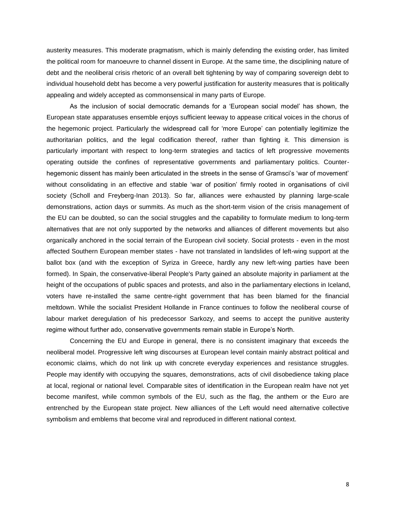austerity measures. This moderate pragmatism, which is mainly defending the existing order, has limited the political room for manoeuvre to channel dissent in Europe. At the same time, the disciplining nature of debt and the neoliberal crisis rhetoric of an overall belt tightening by way of comparing sovereign debt to individual household debt has become a very powerful justification for austerity measures that is politically appealing and widely accepted as commonsensical in many parts of Europe.

As the inclusion of social democratic demands for a 'European social model' has shown, the European state apparatuses ensemble enjoys sufficient leeway to appease critical voices in the chorus of the hegemonic project. Particularly the widespread call for 'more Europe' can potentially legitimize the authoritarian politics, and the legal codification thereof, rather than fighting it. This dimension is particularly important with respect to long-term strategies and tactics of left progressive movements operating outside the confines of representative governments and parliamentary politics. Counterhegemonic dissent has mainly been articulated in the streets in the sense of Gramsci's 'war of movement' without consolidating in an effective and stable 'war of position' firmly rooted in organisations of civil society (Scholl and Freyberg-Inan 2013). So far, alliances were exhausted by planning large-scale demonstrations, action days or summits. As much as the short-term vision of the crisis management of the EU can be doubted, so can the social struggles and the capability to formulate medium to long-term alternatives that are not only supported by the networks and alliances of different movements but also organically anchored in the social terrain of the European civil society. Social protests - even in the most affected Southern European member states - have not translated in landslides of left-wing support at the ballot box (and with the exception of Syriza in Greece, hardly any new left-wing parties have been formed). In Spain, the conservative-liberal People's Party gained an absolute majority in parliament at the height of the occupations of public spaces and protests, and also in the parliamentary elections in Iceland, voters have re-installed the same centre-right government that has been blamed for the financial meltdown. While the socialist President Hollande in France continues to follow the neoliberal course of labour market deregulation of his predecessor Sarkozy, and seems to accept the punitive austerity regime without further ado, conservative governments remain stable in Europe's North.

Concerning the EU and Europe in general, there is no consistent imaginary that exceeds the neoliberal model. Progressive left wing discourses at European level contain mainly abstract political and economic claims, which do not link up with concrete everyday experiences and resistance struggles. People may identify with occupying the squares, demonstrations, acts of civil disobedience taking place at local, regional or national level. Comparable sites of identification in the European realm have not yet become manifest, while common symbols of the EU, such as the flag, the anthem or the Euro are entrenched by the European state project. New alliances of the Left would need alternative collective symbolism and emblems that become viral and reproduced in different national context.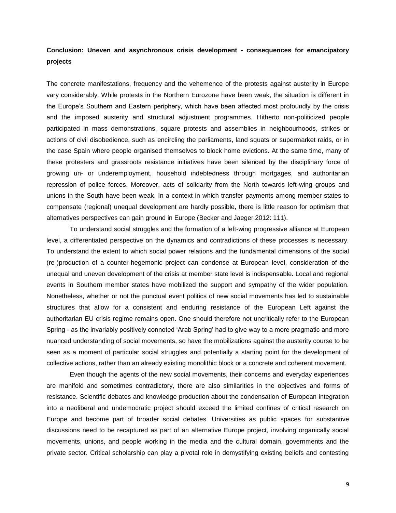# **Conclusion: Uneven and asynchronous crisis development - consequences for emancipatory projects**

The concrete manifestations, frequency and the vehemence of the protests against austerity in Europe vary considerably. While protests in the Northern Eurozone have been weak, the situation is different in the Europe's Southern and Eastern periphery, which have been affected most profoundly by the crisis and the imposed austerity and structural adjustment programmes. Hitherto non-politicized people participated in mass demonstrations, square protests and assemblies in neighbourhoods, strikes or actions of civil disobedience, such as encircling the parliaments, land squats or supermarket raids, or in the case Spain where people organised themselves to block home evictions. At the same time, many of these protesters and grassroots resistance initiatives have been silenced by the disciplinary force of growing un- or underemployment, household indebtedness through mortgages, and authoritarian repression of police forces. Moreover, acts of solidarity from the North towards left-wing groups and unions in the South have been weak. In a context in which transfer payments among member states to compensate (regional) unequal development are hardly possible, there is little reason for optimism that alternatives perspectives can gain ground in Europe (Becker and Jaeger 2012: 111).

To understand social struggles and the formation of a left-wing progressive alliance at European level, a differentiated perspective on the dynamics and contradictions of these processes is necessary. To understand the extent to which social power relations and the fundamental dimensions of the social (re-)production of a counter-hegemonic project can condense at European level, consideration of the unequal and uneven development of the crisis at member state level is indispensable. Local and regional events in Southern member states have mobilized the support and sympathy of the wider population. Nonetheless, whether or not the punctual event politics of new social movements has led to sustainable structures that allow for a consistent and enduring resistance of the European Left against the authoritarian EU crisis regime remains open. One should therefore not uncritically refer to the European Spring - as the invariably positively connoted 'Arab Spring' had to give way to a more pragmatic and more nuanced understanding of social movements, so have the mobilizations against the austerity course to be seen as a moment of particular social struggles and potentially a starting point for the development of collective actions, rather than an already existing monolithic block or a concrete and coherent movement.

Even though the agents of the new social movements, their concerns and everyday experiences are manifold and sometimes contradictory, there are also similarities in the objectives and forms of resistance. Scientific debates and knowledge production about the condensation of European integration into a neoliberal and undemocratic project should exceed the limited confines of critical research on Europe and become part of broader social debates. Universities as public spaces for substantive discussions need to be recaptured as part of an alternative Europe project, involving organically social movements, unions, and people working in the media and the cultural domain, governments and the private sector. Critical scholarship can play a pivotal role in demystifying existing beliefs and contesting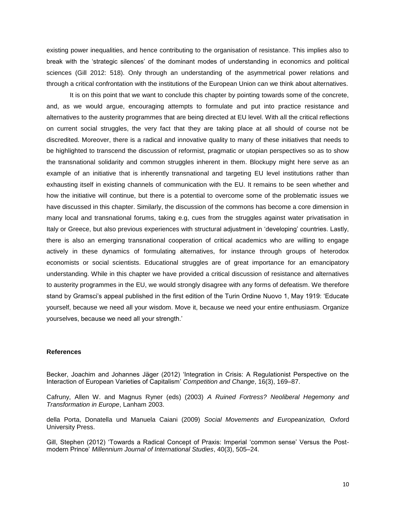existing power inequalities, and hence contributing to the organisation of resistance. This implies also to break with the 'strategic silences' of the dominant modes of understanding in economics and political sciences (Gill 2012: 518). Only through an understanding of the asymmetrical power relations and through a critical confrontation with the institutions of the European Union can we think about alternatives.

It is on this point that we want to conclude this chapter by pointing towards some of the concrete, and, as we would argue, encouraging attempts to formulate and put into practice resistance and alternatives to the austerity programmes that are being directed at EU level. With all the critical reflections on current social struggles, the very fact that they are taking place at all should of course not be discredited. Moreover, there is a radical and innovative quality to many of these initiatives that needs to be highlighted to transcend the discussion of reformist, pragmatic or utopian perspectives so as to show the transnational solidarity and common struggles inherent in them. Blockupy might here serve as an example of an initiative that is inherently transnational and targeting EU level institutions rather than exhausting itself in existing channels of communication with the EU. It remains to be seen whether and how the initiative will continue, but there is a potential to overcome some of the problematic issues we have discussed in this chapter. Similarly, the discussion of the commons has become a core dimension in many local and transnational forums, taking e.g, cues from the struggles against water privatisation in Italy or Greece, but also previous experiences with structural adjustment in 'developing' countries. Lastly, there is also an emerging transnational cooperation of critical academics who are willing to engage actively in these dynamics of formulating alternatives, for instance through groups of heterodox economists or social scientists. Educational struggles are of great importance for an emancipatory understanding. While in this chapter we have provided a critical discussion of resistance and alternatives to austerity programmes in the EU, we would strongly disagree with any forms of defeatism. We therefore stand by Gramsci's appeal published in the first edition of the Turin Ordine Nuovo 1, May 1919: 'Educate yourself, because we need all your wisdom. Move it, because we need your entire enthusiasm. Organize yourselves, because we need all your strength.'

# **References**

Becker, Joachim and Johannes Jäger (2012) 'Integration in Crisis: A Regulationist Perspective on the Interaction of European Varieties of Capitalism' *Competition and Change*, 16(3), 169–87.

Cafruny, Allen W. and Magnus Ryner (eds) (2003) *A Ruined Fortress? Neoliberal Hegemony and Transformation in Europe*, Lanham 2003.

della Porta, Donatella und Manuela Caiani (2009) *Social Movements and Europeanization,* Oxford University Press.

Gill, Stephen (2012) 'Towards a Radical Concept of Praxis: Imperial 'common sense' Versus the Postmodern Prince' *Millennium Journal of International Studies*, 40(3), 505–24.